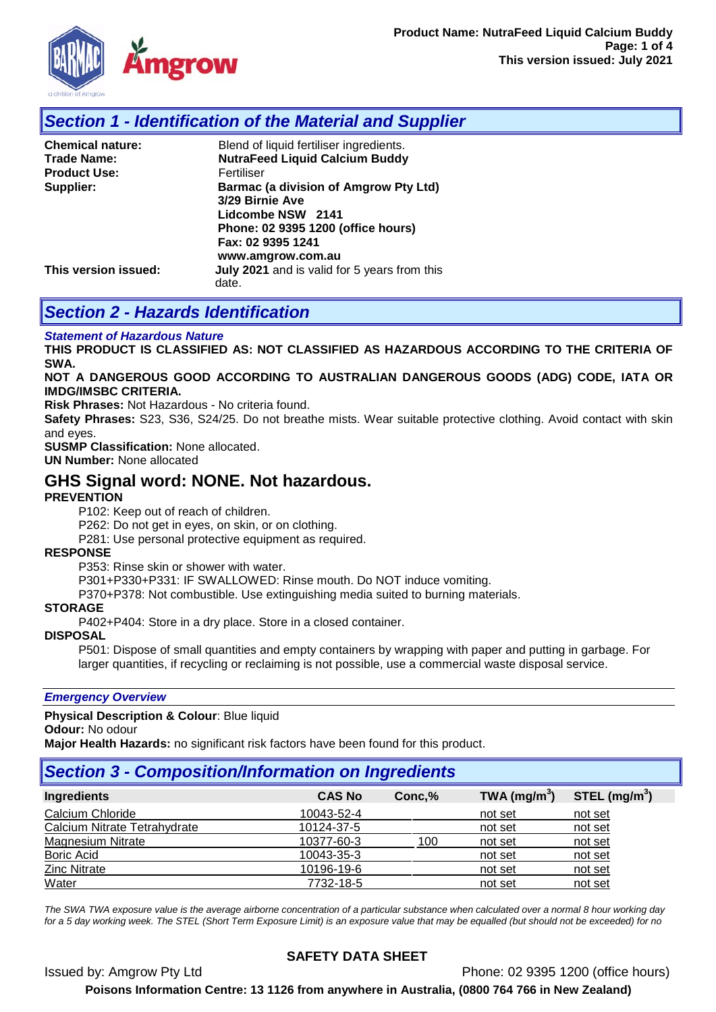

# *Section 1 - Identification of the Material and Supplier*

| <b>Chemical nature:</b> | Blend of liquid fertiliser ingredients.               |
|-------------------------|-------------------------------------------------------|
| Trade Name:             | <b>NutraFeed Liquid Calcium Buddy</b>                 |
| <b>Product Use:</b>     | Fertiliser                                            |
| Supplier:               | <b>Barmac (a division of Amgrow Pty Ltd)</b>          |
|                         | 3/29 Birnie Ave                                       |
|                         | Lidcombe NSW 2141                                     |
|                         | Phone: 02 9395 1200 (office hours)                    |
|                         | Fax: 02 9395 1241                                     |
|                         | www.amgrow.com.au                                     |
| This version issued:    | July 2021 and is valid for 5 years from this<br>date. |

# *Section 2 - Hazards Identification*

#### *Statement of Hazardous Nature*

**THIS PRODUCT IS CLASSIFIED AS: NOT CLASSIFIED AS HAZARDOUS ACCORDING TO THE CRITERIA OF SWA.** 

#### **NOT A DANGEROUS GOOD ACCORDING TO AUSTRALIAN DANGEROUS GOODS (ADG) CODE, IATA OR IMDG/IMSBC CRITERIA.**

**Risk Phrases:** Not Hazardous - No criteria found.

**Safety Phrases:** S23, S36, S24/25. Do not breathe mists. Wear suitable protective clothing. Avoid contact with skin and eyes.

**SUSMP Classification:** None allocated.

**UN Number:** None allocated

## **GHS Signal word: NONE. Not hazardous.**

### **PREVENTION**

P102: Keep out of reach of children.

P262: Do not get in eyes, on skin, or on clothing.

P281: Use personal protective equipment as required.

#### **RESPONSE**

P353: Rinse skin or shower with water.

P301+P330+P331: IF SWALLOWED: Rinse mouth. Do NOT induce vomiting.

P370+P378: Not combustible. Use extinguishing media suited to burning materials.

#### **STORAGE**

P402+P404: Store in a dry place. Store in a closed container.

### **DISPOSAL**

P501: Dispose of small quantities and empty containers by wrapping with paper and putting in garbage. For larger quantities, if recycling or reclaiming is not possible, use a commercial waste disposal service.

#### *Emergency Overview*

**Physical Description & Colour**: Blue liquid

#### **Odour:** No odour

**Major Health Hazards:** no significant risk factors have been found for this product.

# *Section 3 - Composition/Information on Ingredients*

| <b>CAS No</b> | Conc, % | TWA $(mg/m3)$ | STEL $(mg/m3)$ |
|---------------|---------|---------------|----------------|
| 10043-52-4    |         | not set       | not set        |
| 10124-37-5    |         | not set       | not set        |
| 10377-60-3    | 100     | not set       | not set        |
| 10043-35-3    |         | not set       | not set        |
| 10196-19-6    |         | not set       | not set        |
| 7732-18-5     |         | not set       | not set        |
|               |         |               |                |

*The SWA TWA exposure value is the average airborne concentration of a particular substance when calculated over a normal 8 hour working day for a 5 day working week. The STEL (Short Term Exposure Limit) is an exposure value that may be equalled (but should not be exceeded) for no* 

## **SAFETY DATA SHEET**

Issued by: Amgrow Pty Ltd Phone: 02 9395 1200 (office hours) **Poisons Information Centre: 13 1126 from anywhere in Australia, (0800 764 766 in New Zealand)**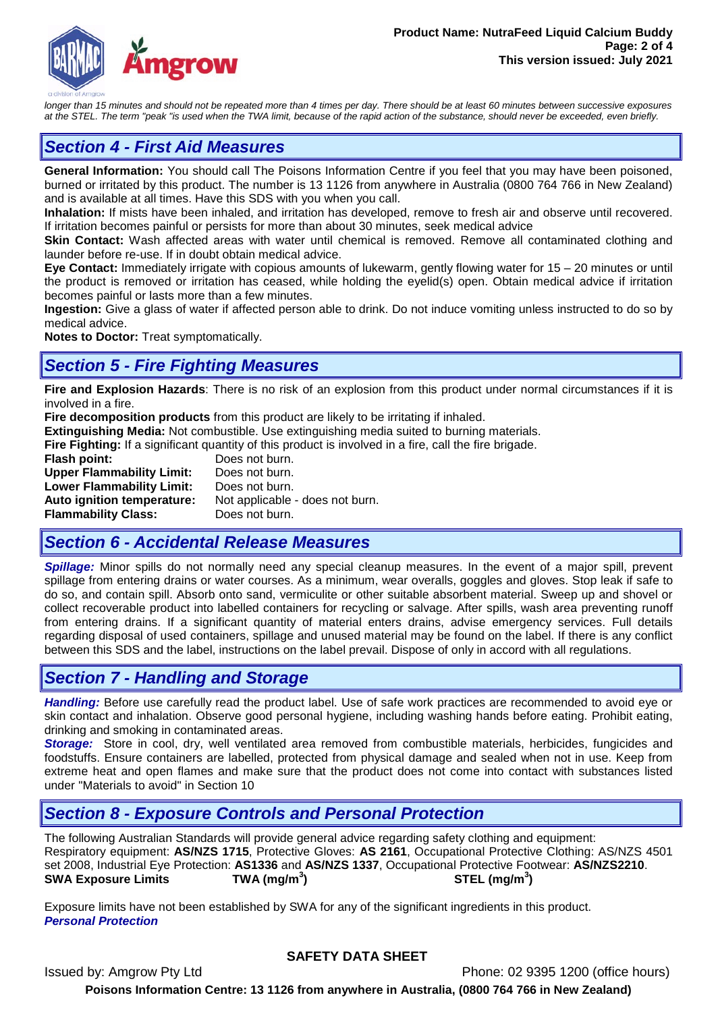

longer than 15 minutes and should not be repeated more than 4 times per day. There should be at least 60 minutes between successive exposures *at the STEL. The term "peak "is used when the TWA limit, because of the rapid action of the substance, should never be exceeded, even briefly.*

# *Section 4 - First Aid Measures*

**General Information:** You should call The Poisons Information Centre if you feel that you may have been poisoned, burned or irritated by this product. The number is 13 1126 from anywhere in Australia (0800 764 766 in New Zealand) and is available at all times. Have this SDS with you when you call.

**Inhalation:** If mists have been inhaled, and irritation has developed, remove to fresh air and observe until recovered. If irritation becomes painful or persists for more than about 30 minutes, seek medical advice

**Skin Contact:** Wash affected areas with water until chemical is removed. Remove all contaminated clothing and launder before re-use. If in doubt obtain medical advice.

**Eye Contact:** Immediately irrigate with copious amounts of lukewarm, gently flowing water for 15 – 20 minutes or until the product is removed or irritation has ceased, while holding the eyelid(s) open. Obtain medical advice if irritation becomes painful or lasts more than a few minutes.

**Ingestion:** Give a glass of water if affected person able to drink. Do not induce vomiting unless instructed to do so by medical advice.

**Notes to Doctor:** Treat symptomatically.

## *Section 5 - Fire Fighting Measures*

**Fire and Explosion Hazards**: There is no risk of an explosion from this product under normal circumstances if it is involved in a fire.

**Fire decomposition products** from this product are likely to be irritating if inhaled.

**Extinguishing Media:** Not combustible. Use extinguishing media suited to burning materials.

**Fire Fighting:** If a significant quantity of this product is involved in a fire, call the fire brigade.

**Flash point:** Does not burn.<br>**Upper Flammability Limit:** Does not burn. **Upper Flammability Limit: Lower Flammability Limit:** Does not burn. **Auto ignition temperature:** Not applicable - does not burn. **Flammability Class:** Does not burn.

# *Section 6 - Accidental Release Measures*

*Spillage:* Minor spills do not normally need any special cleanup measures. In the event of a major spill, prevent spillage from entering drains or water courses. As a minimum, wear overalls, goggles and gloves. Stop leak if safe to do so, and contain spill. Absorb onto sand, vermiculite or other suitable absorbent material. Sweep up and shovel or collect recoverable product into labelled containers for recycling or salvage. After spills, wash area preventing runoff from entering drains. If a significant quantity of material enters drains, advise emergency services. Full details regarding disposal of used containers, spillage and unused material may be found on the label. If there is any conflict between this SDS and the label, instructions on the label prevail. Dispose of only in accord with all regulations.

## *Section 7 - Handling and Storage*

*Handling:* Before use carefully read the product label. Use of safe work practices are recommended to avoid eye or skin contact and inhalation. Observe good personal hygiene, including washing hands before eating. Prohibit eating, drinking and smoking in contaminated areas.

*Storage:*Store in cool, dry, well ventilated area removed from combustible materials, herbicides, fungicides and foodstuffs. Ensure containers are labelled, protected from physical damage and sealed when not in use. Keep from extreme heat and open flames and make sure that the product does not come into contact with substances listed under "Materials to avoid" in Section 10

## *Section 8 - Exposure Controls and Personal Protection*

The following Australian Standards will provide general advice regarding safety clothing and equipment: Respiratory equipment: **AS/NZS 1715**, Protective Gloves: **AS 2161**, Occupational Protective Clothing: AS/NZS 4501 set 2008, Industrial Eye Protection: **AS1336** and **AS/NZS 1337**, Occupational Protective Footwear: **AS/NZS2210**. **SWA Exposure Limits TWA (mg/m<sup>3</sup> ) STEL (mg/m<sup>3</sup> )**

Exposure limits have not been established by SWA for any of the significant ingredients in this product. *Personal Protection*

### **SAFETY DATA SHEET**

Issued by: Amgrow Pty Ltd Phone: 02 9395 1200 (office hours) **Poisons Information Centre: 13 1126 from anywhere in Australia, (0800 764 766 in New Zealand)**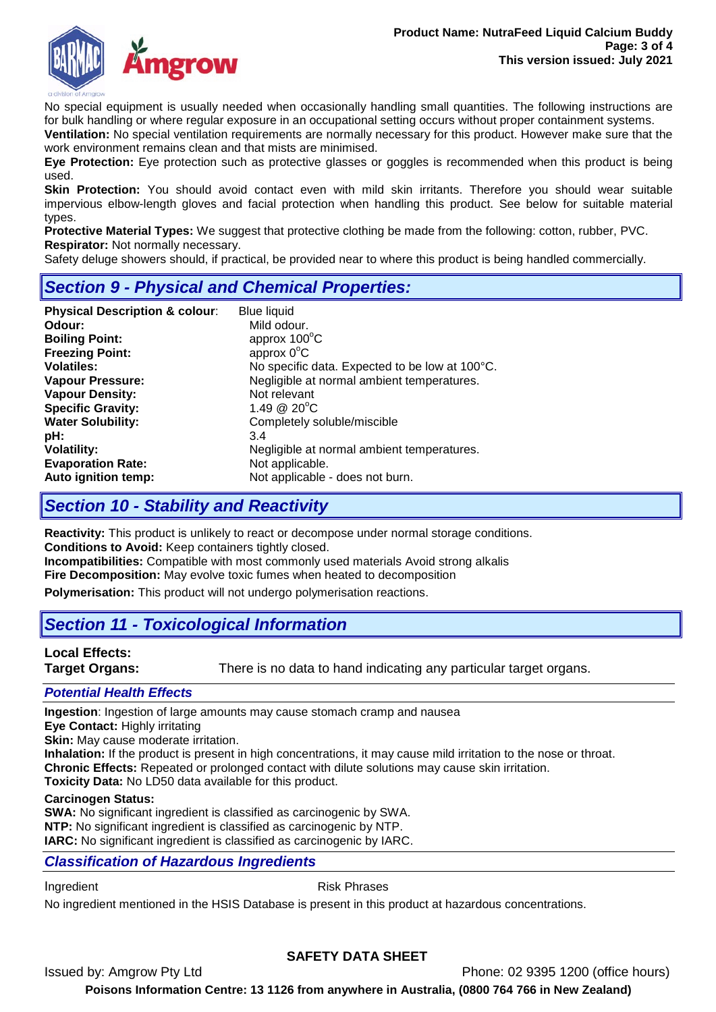

No special equipment is usually needed when occasionally handling small quantities. The following instructions are for bulk handling or where regular exposure in an occupational setting occurs without proper containment systems.

**Ventilation:** No special ventilation requirements are normally necessary for this product. However make sure that the work environment remains clean and that mists are minimised.

**Eye Protection:** Eye protection such as protective glasses or goggles is recommended when this product is being used.

**Skin Protection:** You should avoid contact even with mild skin irritants. Therefore you should wear suitable impervious elbow-length gloves and facial protection when handling this product. See below for suitable material types.

**Protective Material Types:** We suggest that protective clothing be made from the following: cotton, rubber, PVC. **Respirator:** Not normally necessary.

Safety deluge showers should, if practical, be provided near to where this product is being handled commercially.

# *Section 9 - Physical and Chemical Properties:*

| <b>Physical Description &amp; colour:</b> | <b>Blue liquid</b>                             |
|-------------------------------------------|------------------------------------------------|
| Odour:                                    | Mild odour.                                    |
| <b>Boiling Point:</b>                     | approx $100^{\circ}$ C                         |
| <b>Freezing Point:</b>                    | approx $0^{\circ}$ C                           |
| <b>Volatiles:</b>                         | No specific data. Expected to be low at 100°C. |
| <b>Vapour Pressure:</b>                   | Negligible at normal ambient temperatures.     |
| <b>Vapour Density:</b>                    | Not relevant                                   |
| <b>Specific Gravity:</b>                  | 1.49 $@$ 20 $°C$                               |
| <b>Water Solubility:</b>                  | Completely soluble/miscible                    |
| pH:                                       | 3.4                                            |
| <b>Volatility:</b>                        | Negligible at normal ambient temperatures.     |
| <b>Evaporation Rate:</b>                  | Not applicable.                                |
| Auto ignition temp:                       | Not applicable - does not burn.                |

# *Section 10 - Stability and Reactivity*

**Reactivity:** This product is unlikely to react or decompose under normal storage conditions. **Conditions to Avoid:** Keep containers tightly closed. **Incompatibilities:** Compatible with most commonly used materials Avoid strong alkalis

**Fire Decomposition:** May evolve toxic fumes when heated to decomposition

**Polymerisation:** This product will not undergo polymerisation reactions.

# *Section 11 - Toxicological Information*

**Local Effects:** 

There is no data to hand indicating any particular target organs.

### *Potential Health Effects*

**Ingestion**: Ingestion of large amounts may cause stomach cramp and nausea

**Eye Contact:** Highly irritating

**Skin:** May cause moderate irritation.

**Inhalation:** If the product is present in high concentrations, it may cause mild irritation to the nose or throat.

**Chronic Effects:** Repeated or prolonged contact with dilute solutions may cause skin irritation.

**Toxicity Data:** No LD50 data available for this product.

### **Carcinogen Status:**

**SWA:** No significant ingredient is classified as carcinogenic by SWA. **NTP:** No significant ingredient is classified as carcinogenic by NTP. **IARC:** No significant ingredient is classified as carcinogenic by IARC.

### *Classification of Hazardous Ingredients*

Ingredient **Risk Phrases** 

No ingredient mentioned in the HSIS Database is present in this product at hazardous concentrations.

### **SAFETY DATA SHEET**

Issued by: Amgrow Pty Ltd Phone: 02 9395 1200 (office hours)

**Poisons Information Centre: 13 1126 from anywhere in Australia, (0800 764 766 in New Zealand)**